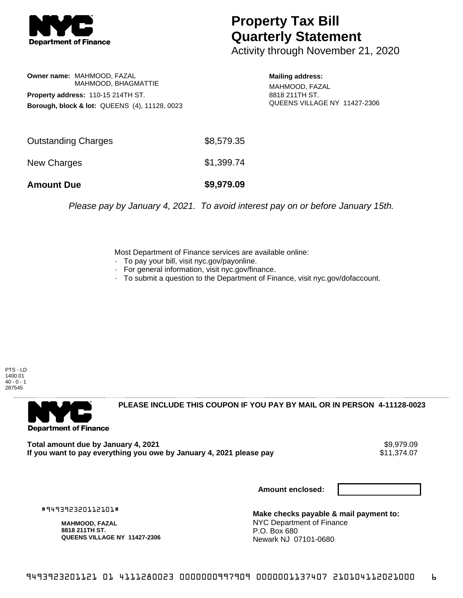

## **Property Tax Bill Quarterly Statement**

Activity through November 21, 2020

**Owner name:** MAHMOOD, FAZAL MAHMOOD, BHAGMATTIE **Property address:** 110-15 214TH ST. **Borough, block & lot:** QUEENS (4), 11128, 0023

**Mailing address:** MAHMOOD, FAZAL

8818 211TH ST. QUEENS VILLAGE NY 11427-2306

| <b>Amount Due</b>          | \$9,979.09 |
|----------------------------|------------|
| New Charges                | \$1,399.74 |
| <b>Outstanding Charges</b> | \$8,579.35 |

Please pay by January 4, 2021. To avoid interest pay on or before January 15th.

Most Department of Finance services are available online:

- · To pay your bill, visit nyc.gov/payonline.
- For general information, visit nyc.gov/finance.
- · To submit a question to the Department of Finance, visit nyc.gov/dofaccount.

PTS - LD 1400.01  $40 - 0 - 1$ 287545



**PLEASE INCLUDE THIS COUPON IF YOU PAY BY MAIL OR IN PERSON 4-11128-0023** 

**Total amount due by January 4, 2021**<br>If you want to pay everything you owe by January 4, 2021 please pay **state of the set of the set of the set of** If you want to pay everything you owe by January 4, 2021 please pay

**Amount enclosed:**

#949392320112101#

**MAHMOOD, FAZAL 8818 211TH ST. QUEENS VILLAGE NY 11427-2306**

**Make checks payable & mail payment to:** NYC Department of Finance P.O. Box 680 Newark NJ 07101-0680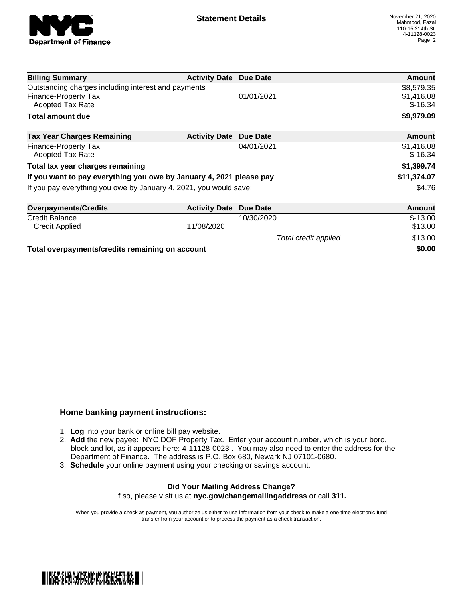

Total credit applied  $$13.00$ 

| <b>Billing Summary</b>                                              | <b>Activity Date Due Date</b> |            | Amount                  |
|---------------------------------------------------------------------|-------------------------------|------------|-------------------------|
| Outstanding charges including interest and payments                 | \$8,579.35                    |            |                         |
| <b>Finance-Property Tax</b><br>Adopted Tax Rate                     |                               | 01/01/2021 | \$1,416.08<br>$$-16.34$ |
| <b>Total amount due</b>                                             |                               |            | \$9,979.09              |
| <b>Tax Year Charges Remaining</b>                                   | <b>Activity Date</b>          | Due Date   | <b>Amount</b>           |
| <b>Finance-Property Tax</b><br><b>Adopted Tax Rate</b>              |                               | 04/01/2021 | \$1,416.08<br>$$-16.34$ |
| Total tax year charges remaining                                    |                               |            | \$1,399.74              |
| If you want to pay everything you owe by January 4, 2021 please pay |                               |            | \$11,374.07             |
| If you pay everything you owe by January 4, 2021, you would save:   |                               |            | \$4.76                  |
| <b>Overpayments/Credits</b>                                         | <b>Activity Date</b>          | Due Date   | Amount                  |
| <b>Credit Balance</b>                                               |                               | 10/30/2020 | $$-13.00$               |
| <b>Credit Applied</b>                                               | 11/08/2020                    |            | \$13.00                 |

**Total overpayments/credits remaining on account \$0.00**

## **Home banking payment instructions:**

- 1. **Log** into your bank or online bill pay website.
- 2. **Add** the new payee: NYC DOF Property Tax. Enter your account number, which is your boro, block and lot, as it appears here: 4-11128-0023 . You may also need to enter the address for the Department of Finance. The address is P.O. Box 680, Newark NJ 07101-0680.
- 3. **Schedule** your online payment using your checking or savings account.

## **Did Your Mailing Address Change?** If so, please visit us at **nyc.gov/changemailingaddress** or call **311.**

When you provide a check as payment, you authorize us either to use information from your check to make a one-time electronic fund transfer from your account or to process the payment as a check transaction.